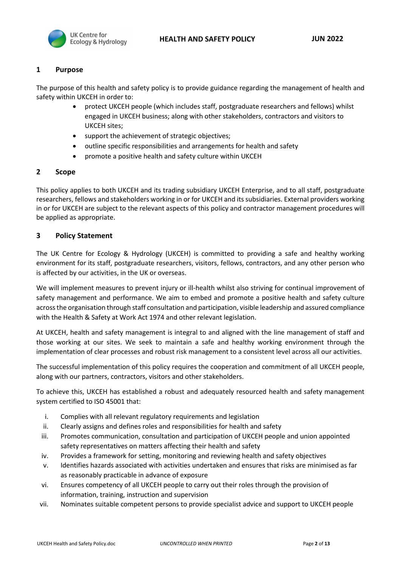

## **1 Purpose**

The purpose of this health and safety policy is to provide guidance regarding the management of health and safety within UKCEH in order to:

- protect UKCEH people (which includes staff, postgraduate researchers and fellows) whilst engaged in UKCEH business; along with other stakeholders, contractors and visitors to UKCEH sites;
- support the achievement of strategic objectives;
- outline specific responsibilities and arrangements for health and safety
- promote a positive health and safety culture within UKCEH

## **2 Scope**

This policy applies to both UKCEH and its trading subsidiary UKCEH Enterprise, and to all staff, postgraduate researchers, fellows and stakeholders working in or for UKCEH and its subsidiaries. External providers working in or for UKCEH are subject to the relevant aspects of this policy and contractor management procedures will be applied as appropriate.

## **3 Policy Statement**

The UK Centre for Ecology & Hydrology (UKCEH) is committed to providing a safe and healthy working environment for its staff, postgraduate researchers, visitors, fellows, contractors, and any other person who is affected by our activities, in the UK or overseas.

We will implement measures to prevent injury or ill-health whilst also striving for continual improvement of safety management and performance. We aim to embed and promote a positive health and safety culture across the organisation through staff consultation and participation, visible leadership and assured compliance with the Health & Safety at Work Act 1974 and other relevant legislation.

At UKCEH, health and safety management is integral to and aligned with the line management of staff and those working at our sites. We seek to maintain a safe and healthy working environment through the implementation of clear processes and robust risk management to a consistent level across all our activities.

The successful implementation of this policy requires the cooperation and commitment of all UKCEH people, along with our partners, contractors, visitors and other stakeholders.

To achieve this, UKCEH has established a robust and adequately resourced health and safety management system certified to ISO 45001 that:

- i. Complies with all relevant regulatory requirements and legislation
- ii. Clearly assigns and defines roles and responsibilities for health and safety
- iii. Promotes communication, consultation and participation of UKCEH people and union appointed safety representatives on matters affecting their health and safety
- iv. Provides a framework for setting, monitoring and reviewing health and safety objectives
- v. Identifies hazards associated with activities undertaken and ensures that risks are minimised as far as reasonably practicable in advance of exposure
- vi. Ensures competency of all UKCEH people to carry out their roles through the provision of information, training, instruction and supervision
- vii. Nominates suitable competent persons to provide specialist advice and support to UKCEH people